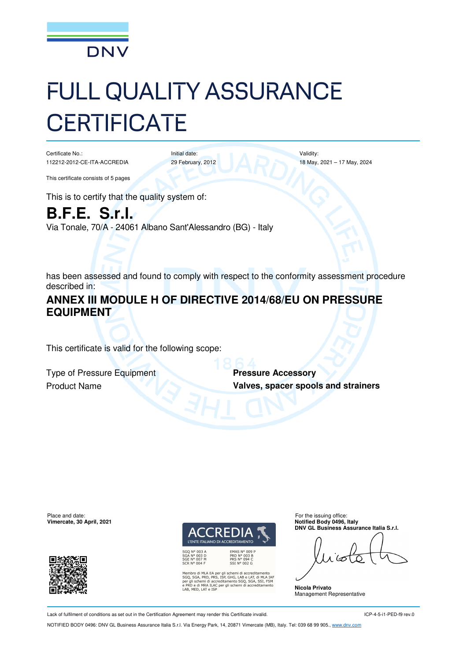

# FULL QUALITY ASSURANCE **CERTIFICATE**

Certificate No.: 112212-2012-CE-ITA-ACCREDIA

Initial date: 29 February, 2012 Validity: 18 May, 2021 – 17 May, 2024

This certificate consists of 5 pages

This is to certify that the quality system of:

**B.F.E. S.r.l.**  Via Tonale, 70/A - 24061 Albano Sant'Alessandro (BG) - Italy

has been assessed and found to comply with respect to the conformity assessment procedure described in:

# **ANNEX III MODULE H OF DIRECTIVE 2014/68/EU ON PRESSURE EQUIPMENT**

This certificate is valid for the following scope:

**Type of Pressure Equipment Pressure Accessory** 

**Product Name <b>Valves, spacer spools and strainers** 



L'ENTE ITALIANO DI ACCREDITAMENTO

EMAS N° 009 P<br>PRD N° 003 B<br>PRS N° 094 C<br>SSI N° 002 G

Membro di MLA EA per gli schemi di accreditamento<br>SGQ, SGA, PRD, PRS, ISP, GHG, LAB e LAT, di MLA IAF<br>per gli schemi di accreditamento SGQ, SGA, SSI, FSM<br>e PRD e di MRA ILAC per gli schemi di accreditamento<br>LAB, MED, LAT e

Place and date: For the issuing office: **Vimercate, 30 April, 2021 Notified Body 0496, Italy DNV GL Business Assurance Italia S.r.l.** 

**Nicola Privato**  Management Representative

Lack of fulfilment of conditions as set out in the Certification Agreement may render this Certificate invalid.

ICP-4-5-i1-PED-f9 rev.0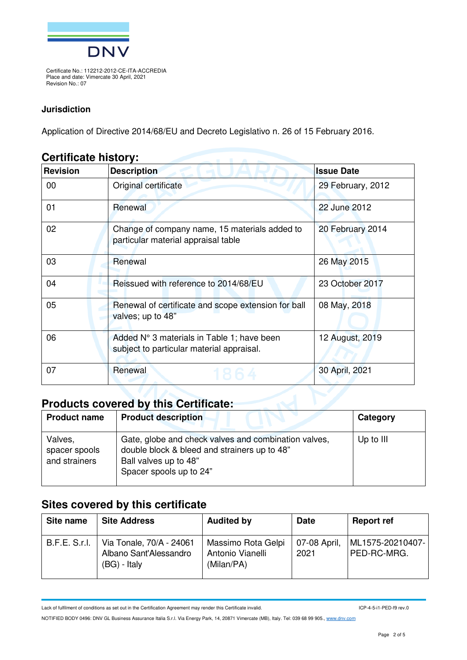

#### **Jurisdiction**

Application of Directive 2014/68/EU and Decreto Legislativo n. 26 of 15 February 2016.

#### **Certificate history:**

| <b>Revision</b><br><b>Description</b> |                                                                                                            | <b>Issue Date</b> |
|---------------------------------------|------------------------------------------------------------------------------------------------------------|-------------------|
| 00                                    | Original certificate                                                                                       | 29 February, 2012 |
| 01                                    | Renewal                                                                                                    | 22 June 2012      |
| 02                                    | Change of company name, 15 materials added to<br>particular material appraisal table                       | 20 February 2014  |
| 03                                    | Renewal                                                                                                    | 26 May 2015       |
| 04                                    | Reissued with reference to 2014/68/EU                                                                      | 23 October 2017   |
| 05                                    | Renewal of certificate and scope extension for ball<br>08 May, 2018<br>valves; up to 48"                   |                   |
| 06                                    | 12 August, 2019<br>Added N° 3 materials in Table 1; have been<br>subject to particular material appraisal. |                   |
| 07                                    | Renewal<br>30 April, 2021                                                                                  |                   |
|                                       | Products covered by this Certificate:                                                                      |                   |

# **Products covered by this Certificate:**

| <b>Product name</b>                       | <b>Product description</b>                                                                                                                               | Category  |
|-------------------------------------------|----------------------------------------------------------------------------------------------------------------------------------------------------------|-----------|
| Valves,<br>spacer spools<br>and strainers | Gate, globe and check valves and combination valves,<br>double block & bleed and strainers up to 48"<br>Ball valves up to 48"<br>Spacer spools up to 24" | Up to III |

# **Sites covered by this certificate**

| Site name            | <b>Site Address</b>                                                  | <b>Audited by</b>                                    | <b>Date</b>          | <b>Report ref</b>               |
|----------------------|----------------------------------------------------------------------|------------------------------------------------------|----------------------|---------------------------------|
| <b>B.F.E. S.r.I.</b> | Via Tonale, 70/A - 24061<br>Albano Sant'Alessandro<br>$(BG)$ - Italy | Massimo Rota Gelpi<br>Antonio Vianelli<br>(Milan/PA) | 07-08 April,<br>2021 | ML1575-20210407-<br>PED-RC-MRG. |

Lack of fulfilment of conditions as set out in the Certification Agreement may render this Certificate invalid.

ICP-4-5-i1-PED-f9 rev.0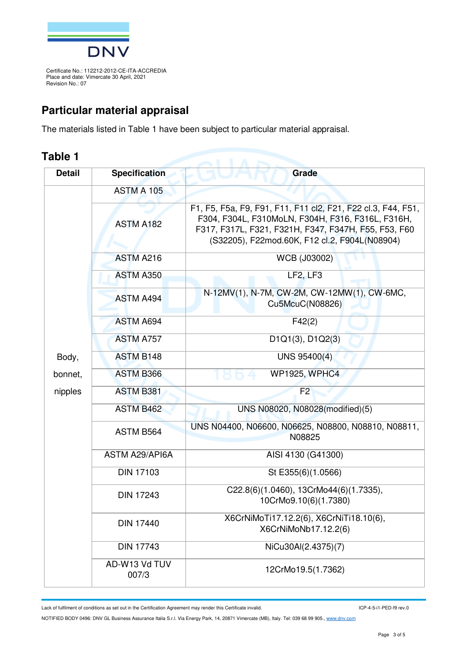

# **Particular material appraisal**

The materials listed in Table 1 have been subject to particular material appraisal.

## **Table 1**

| <b>Detail</b> | <b>Specification</b>   | Grade                                                                                                                                                                                                                      |
|---------------|------------------------|----------------------------------------------------------------------------------------------------------------------------------------------------------------------------------------------------------------------------|
|               | <b>ASTM A 105</b>      |                                                                                                                                                                                                                            |
|               | <b>ASTM A182</b>       | F1, F5, F5a, F9, F91, F11, F11 cl2, F21, F22 cl.3, F44, F51,<br>F304, F304L, F310MoLN, F304H, F316, F316L, F316H,<br>F317, F317L, F321, F321H, F347, F347H, F55, F53, F60<br>(S32205), F22mod.60K, F12 cl.2, F904L(N08904) |
|               | <b>ASTM A216</b>       | WCB (J03002)                                                                                                                                                                                                               |
|               | ASTM A350              | LF2, LF3                                                                                                                                                                                                                   |
|               | <b>ASTM A494</b>       | N-12MV(1), N-7M, CW-2M, CW-12MW(1), CW-6MC,<br>Cu5McuC(N08826)                                                                                                                                                             |
|               | <b>ASTM A694</b>       | F42(2)                                                                                                                                                                                                                     |
|               | <b>ASTM A757</b>       | D <sub>1</sub> Q <sub>1</sub> (3), D <sub>1</sub> Q <sub>2</sub> (3)                                                                                                                                                       |
| Body,         | <b>ASTM B148</b>       | UNS 95400(4)                                                                                                                                                                                                               |
| bonnet,       | <b>ASTM B366</b>       | <b>WP1925, WPHC4</b>                                                                                                                                                                                                       |
| nipples       | <b>ASTM B381</b>       | F <sub>2</sub>                                                                                                                                                                                                             |
|               | <b>ASTM B462</b>       | UNS N08020, N08028(modified)(5)                                                                                                                                                                                            |
|               | ASTM B564              | UNS N04400, N06600, N06625, N08800, N08810, N08811,<br>N08825                                                                                                                                                              |
|               | <b>ASTM A29/API6A</b>  | AISI 4130 (G41300)                                                                                                                                                                                                         |
|               | <b>DIN 17103</b>       | St E355(6)(1.0566)                                                                                                                                                                                                         |
|               | <b>DIN 17243</b>       | C22.8(6)(1.0460), 13CrMo44(6)(1.7335),<br>10CrMo9.10(6)(1.7380)                                                                                                                                                            |
|               | <b>DIN 17440</b>       | X6CrNiMoTi17.12.2(6), X6CrNiTi18.10(6),<br>X6CrNiMoNb17.12.2(6)                                                                                                                                                            |
|               | <b>DIN 17743</b>       | NiCu30Al(2.4375)(7)                                                                                                                                                                                                        |
|               | AD-W13 Vd TUV<br>007/3 | 12CrMo19.5(1.7362)                                                                                                                                                                                                         |

Lack of fulfilment of conditions as set out in the Certification Agreement may render this Certificate invalid.

ICP-4-5-i1-PED-f9 rev.0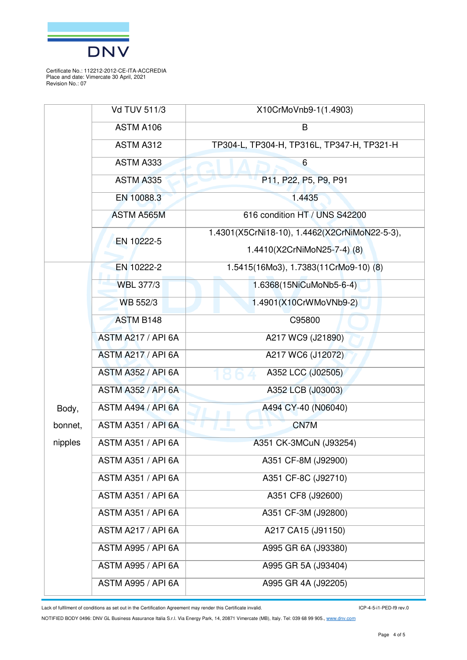

|         | <b>Vd TUV 511/3</b>       | X10CrMoVnb9-1(1.4903)                         |
|---------|---------------------------|-----------------------------------------------|
|         | ASTM A106                 | B                                             |
|         | ASTM A312                 | TP304-L, TP304-H, TP316L, TP347-H, TP321-H    |
|         | ASTM A333                 | $6\phantom{1}$                                |
|         | ASTM A335                 | P11, P22, P5, P9, P91                         |
|         | EN 10088.3                | 1.4435                                        |
|         | <b>ASTM A565M</b>         | 616 condition HT / UNS S42200                 |
|         | EN 10222-5                | 1.4301(X5CrNi18-10), 1.4462(X2CrNiMoN22-5-3), |
|         |                           | 1.4410(X2CrNiMoN25-7-4) (8)                   |
|         | EN 10222-2                | 1.5415(16Mo3), 1.7383(11CrMo9-10) (8)         |
|         | <b>WBL 377/3</b>          | 1.6368(15NiCuMoNb5-6-4)                       |
|         | WB 552/3                  | 1.4901(X10CrWMoVNb9-2)                        |
|         | <b>ASTM B148</b>          | C95800                                        |
|         | ASTM A217 / API 6A        | A217 WC9 (J21890)                             |
|         | ASTM A217 / API 6A        | A217 WC6 (J12072)                             |
|         | <b>ASTM A352 / API 6A</b> | A352 LCC (J02505)                             |
|         | <b>ASTM A352 / API 6A</b> | A352 LCB (J03003)                             |
| Body,   | ASTM A494 / API 6A        | A494 CY-40 (N06040)                           |
| bonnet, | ASTM A351 / API 6A        | CN7M                                          |
| nipples | <b>ASTM A351 / API 6A</b> | A351 CK-3MCuN (J93254)                        |
|         | <b>ASTM A351 / API 6A</b> | A351 CF-8M (J92900)                           |
|         | <b>ASTM A351 / API 6A</b> | A351 CF-8C (J92710)                           |
|         | <b>ASTM A351 / API 6A</b> | A351 CF8 (J92600)                             |
|         | <b>ASTM A351 / API 6A</b> | A351 CF-3M (J92800)                           |
|         | <b>ASTM A217 / API 6A</b> | A217 CA15 (J91150)                            |
|         | <b>ASTM A995 / API 6A</b> | A995 GR 6A (J93380)                           |
|         | <b>ASTM A995 / API 6A</b> | A995 GR 5A (J93404)                           |
|         | <b>ASTM A995 / API 6A</b> | A995 GR 4A (J92205)                           |

Lack of fulfilment of conditions as set out in the Certification Agreement may render this Certificate invalid.

ICP-4-5-i1-PED-f9 rev.0